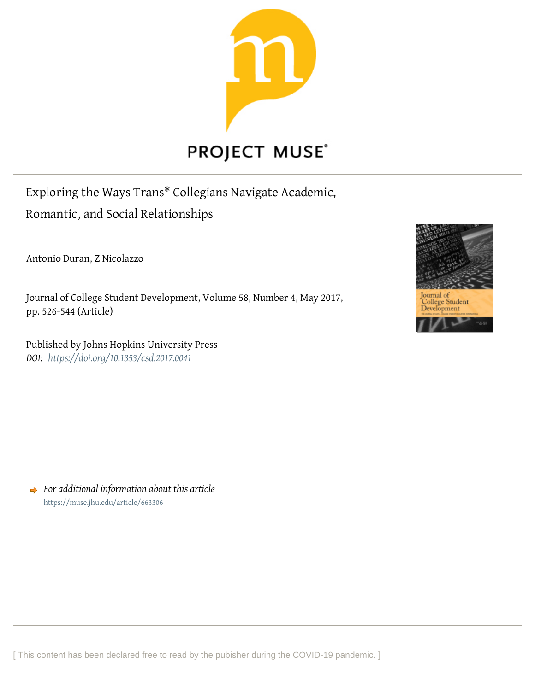

# Exploring the Ways Trans\* Collegians Navigate Academic,

Romantic, and Social Relationships

Antonio Duran, Z Nicolazzo

Journal of College Student Development, Volume 58, Number 4, May 2017, pp. 526-544 (Article)

Published by Johns Hopkins University Press *DOI: <https://doi.org/10.1353/csd.2017.0041>*



*For additional information about this article* <https://muse.jhu.edu/article/663306>

[ This content has been declared free to read by the pubisher during the COVID-19 pandemic. ]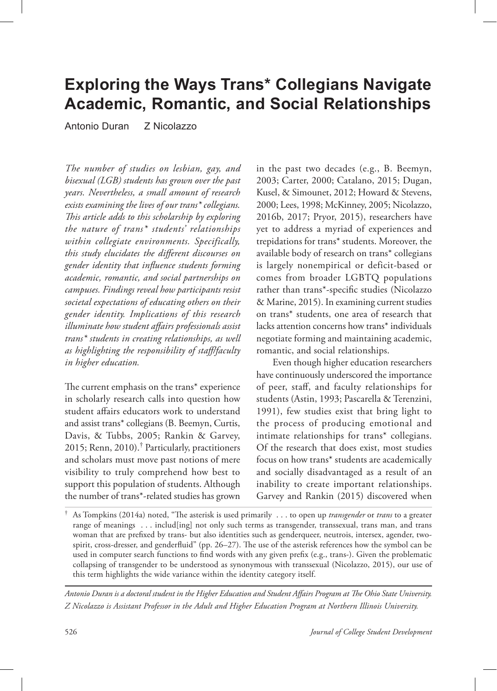# **Exploring the Ways Trans\* Collegians Navigate Academic, Romantic, and Social Relationships**

Antonio Duran Z Nicolazzo

*The number of studies on lesbian, gay, and bisexual (LGB) students has grown over the past years. Nevertheless, a small amount of research exists examining the lives of our trans\* collegians. This article adds to this scholarship by exploring the nature of trans\* students' relationships within collegiate environments. Specifically, this study elucidates the different discourses on gender identity that influence students forming academic, romantic, and social partnerships on campuses. Findings reveal how participants resist societal expectations of educating others on their gender identity. Implications of this research illuminate how student affairs professionals assist trans\* students in creating relationships, as well as highlighting the responsibility of staff/faculty in higher education.*

The current emphasis on the trans\* experience in scholarly research calls into question how student affairs educators work to understand and assist trans\* collegians (B. Beemyn, Curtis, Davis, & Tubbs, 2005; Rankin & Garvey, 2015; Renn, 2010).† Particularly, practitioners and scholars must move past notions of mere visibility to truly comprehend how best to support this population of students. Although the number of trans\*-related studies has grown

in the past two decades (e.g., B. Beemyn, 2003; Carter, 2000; Catalano, 2015; Dugan, Kusel, & Simounet, 2012; Howard & Stevens, 2000; Lees, 1998; McKinney, 2005; Nicolazzo, 2016b, 2017; Pryor, 2015), researchers have yet to address a myriad of experiences and trepidations for trans\* students. Moreover, the available body of research on trans\* collegians is largely nonempirical or deficit-based or comes from broader LGBTQ populations rather than trans\*-specific studies (Nicolazzo & Marine, 2015). In examining current studies on trans\* students, one area of research that lacks attention concerns how trans\* individuals negotiate forming and maintaining academic, romantic, and social relationships.

Even though higher education researchers have continuously underscored the importance of peer, staff, and faculty relationships for students (Astin, 1993; Pascarella & Terenzini, 1991), few studies exist that bring light to the process of producing emotional and intimate relationships for trans\* collegians. Of the research that does exist, most studies focus on how trans\* students are academically and socially disadvantaged as a result of an inability to create important relationships. Garvey and Rankin (2015) discovered when

† As Tompkins (2014a) noted, "The asterisk is used primarily . . . to open up *transgender* or *trans* to a greater range of meanings . . . includ[ing] not only such terms as transgender, transsexual, trans man, and trans woman that are prefixed by trans- but also identities such as genderqueer, neutrois, intersex, agender, twospirit, cross-dresser, and genderfluid" (pp. 26–27). The use of the asterisk references how the symbol can be used in computer search functions to find words with any given prefix (e.g., trans-). Given the problematic collapsing of transgender to be understood as synonymous with transsexual (Nicolazzo, 2015), our use of this term highlights the wide variance within the identity category itself.

*Antonio Duran is a doctoral student in the Higher Education and Student Affairs Program at The Ohio State University. Z Nicolazzo is Assistant Professor in the Adult and Higher Education Program at Northern Illinois University.*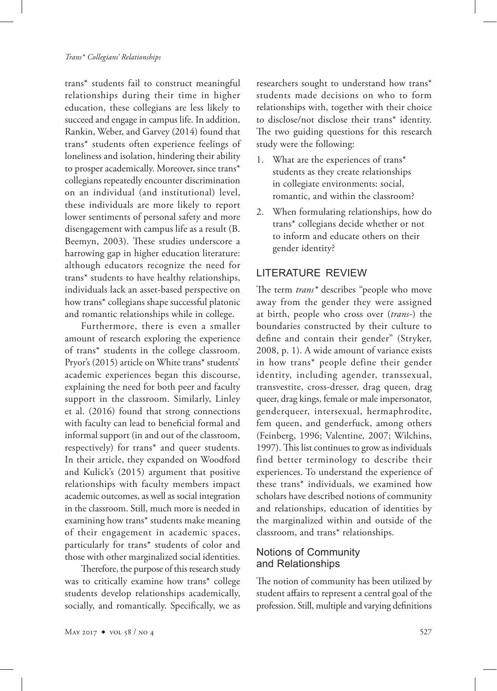trans\* students fail to construct meaningful relationships during their time in higher education, these collegians are less likely to succeed and engage in campus life. In addition, Rankin, Weber, and Garvey (2014) found that trans\* students often experience feelings of loneliness and isolation, hindering their ability to prosper academically. Moreover, since trans\* collegians repeatedly encounter discrimination on an individual (and institutional) level, these individuals are more likely to report lower sentiments of personal safety and more disengagement with campus life as a result (B. Beemyn, 2003). These studies underscore a harrowing gap in higher education literature: although educators recognize the need for trans\* students to have healthy relationships, individuals lack an asset-based perspective on how trans\* collegians shape successful platonic and romantic relationships while in college.

Furthermore, there is even a smaller amount of research exploring the experience of trans\* students in the college classroom. Pryor's (2015) article on White trans\* students' academic experiences began this discourse, explaining the need for both peer and faculty support in the classroom. Similarly, Linley et al. (2016) found that strong connections with faculty can lead to beneficial formal and informal support (in and out of the classroom, respectively) for trans\* and queer students. In their article, they expanded on Woodford and Kulick's (2015) argument that positive relationships with faculty members impact academic outcomes, as well as social integration in the classroom. Still, much more is needed in examining how trans\* students make meaning of their engagement in academic spaces, particularly for trans\* students of color and those with other marginalized social identities.

Therefore, the purpose of this research study was to critically examine how trans\* college students develop relationships academically, socially, and romantically. Specifically, we as researchers sought to understand how trans\* students made decisions on who to form relationships with, together with their choice to disclose/not disclose their trans\* identity. The two guiding questions for this research study were the following:

- 1. What are the experiences of trans\* students as they create relationships in collegiate environments: social, romantic, and within the classroom?
- 2. When formulating relationships, how do trans\* collegians decide whether or not to inform and educate others on their gender identity?

# LITERATURE REVIEW

The term *trans\** describes "people who move away from the gender they were assigned at birth, people who cross over (*trans-*) the boundaries constructed by their culture to define and contain their gender" (Stryker, 2008, p. 1). A wide amount of variance exists in how trans\* people define their gender identity, including agender, transsexual, transvestite, cross-dresser, drag queen, drag queer, drag kings, female or male impersonator, genderqueer, intersexual, hermaphrodite, fem queen, and genderfuck, among others (Feinberg, 1996; Valentine, 2007; Wilchins, 1997). This list continues to grow as individuals find better terminology to describe their experiences. To understand the experience of these trans\* individuals, we examined how scholars have described notions of community and relationships, education of identities by the marginalized within and outside of the classroom, and trans\* relationships.

# Notions of Community and Relationships

The notion of community has been utilized by student affairs to represent a central goal of the profession. Still, multiple and varying definitions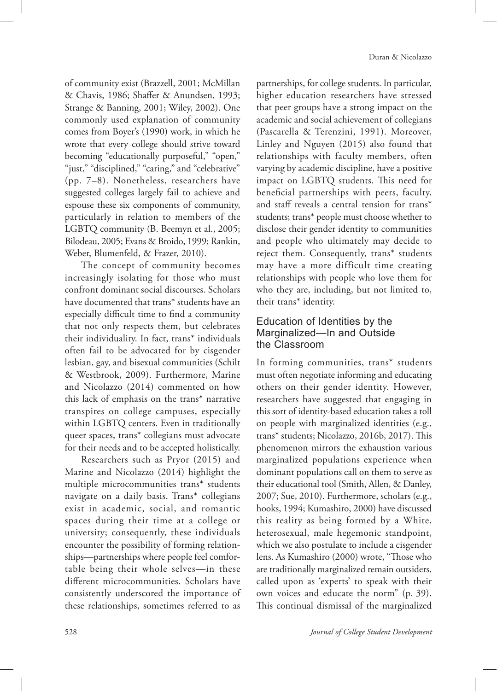of community exist (Brazzell, 2001; McMillan & Chavis, 1986; Shaffer & Anundsen, 1993; Strange & Banning, 2001; Wiley, 2002). One commonly used explanation of community comes from Boyer's (1990) work, in which he wrote that every college should strive toward becoming "educationally purposeful," "open," "just," "disciplined," "caring," and "celebrative" (pp. 7–8). Nonetheless, researchers have suggested colleges largely fail to achieve and espouse these six components of community, particularly in relation to members of the LGBTQ community (B. Beemyn et al., 2005; Bilodeau, 2005; Evans & Broido, 1999; Rankin, Weber, Blumenfeld, & Frazer, 2010).

The concept of community becomes increasingly isolating for those who must confront dominant social discourses. Scholars have documented that trans\* students have an especially difficult time to find a community that not only respects them, but celebrates their individuality. In fact, trans\* individuals often fail to be advocated for by cisgender lesbian, gay, and bisexual communities (Schilt & Westbrook, 2009). Furthermore, Marine and Nicolazzo (2014) commented on how this lack of emphasis on the trans\* narrative transpires on college campuses, especially within LGBTQ centers. Even in traditionally queer spaces, trans\* collegians must advocate for their needs and to be accepted holistically.

Researchers such as Pryor (2015) and Marine and Nicolazzo (2014) highlight the multiple microcommunities trans\* students navigate on a daily basis. Trans\* collegians exist in academic, social, and romantic spaces during their time at a college or university; consequently, these individuals encounter the possibility of forming relationships—partnerships where people feel comfortable being their whole selves—in these different microcommunities. Scholars have consistently underscored the importance of these relationships, sometimes referred to as

partnerships, for college students. In particular, higher education researchers have stressed that peer groups have a strong impact on the academic and social achievement of collegians (Pascarella & Terenzini, 1991). Moreover, Linley and Nguyen (2015) also found that relationships with faculty members, often varying by academic discipline, have a positive impact on LGBTQ students. This need for beneficial partnerships with peers, faculty, and staff reveals a central tension for trans\* students; trans\* people must choose whether to disclose their gender identity to communities and people who ultimately may decide to reject them. Consequently, trans\* students may have a more difficult time creating relationships with people who love them for who they are, including, but not limited to, their trans\* identity.

#### Education of Identities by the Marginalized—In and Outside the Classroom

In forming communities, trans\* students must often negotiate informing and educating others on their gender identity. However, researchers have suggested that engaging in this sort of identity-based education takes a toll on people with marginalized identities (e.g., trans\* students; Nicolazzo, 2016b, 2017). This phenomenon mirrors the exhaustion various marginalized populations experience when dominant populations call on them to serve as their educational tool (Smith, Allen, & Danley, 2007; Sue, 2010). Furthermore, scholars (e.g., hooks, 1994; Kumashiro, 2000) have discussed this reality as being formed by a White, heterosexual, male hegemonic standpoint, which we also postulate to include a cisgender lens. As Kumashiro (2000) wrote, "Those who are traditionally marginalized remain outsiders, called upon as 'experts' to speak with their own voices and educate the norm" (p. 39). This continual dismissal of the marginalized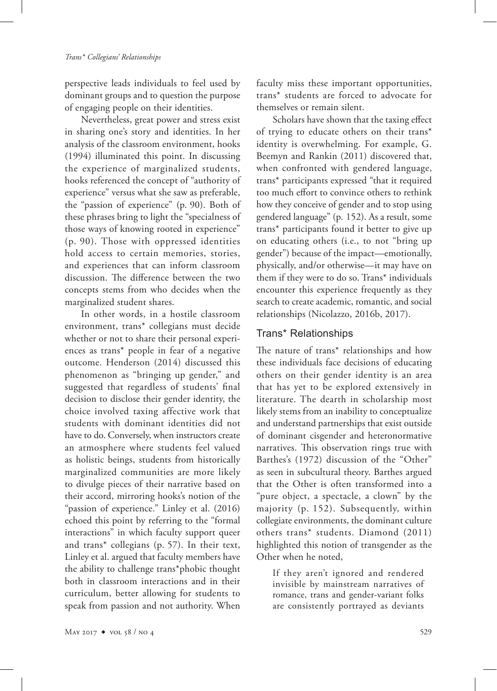perspective leads individuals to feel used by dominant groups and to question the purpose of engaging people on their identities.

Nevertheless, great power and stress exist in sharing one's story and identities. In her analysis of the classroom environment, hooks (1994) illuminated this point. In discussing the experience of marginalized students, hooks referenced the concept of "authority of experience" versus what she saw as preferable, the "passion of experience" (p. 90). Both of these phrases bring to light the "specialness of those ways of knowing rooted in experience" (p. 90). Those with oppressed identities hold access to certain memories, stories, and experiences that can inform classroom discussion. The difference between the two concepts stems from who decides when the marginalized student shares.

In other words, in a hostile classroom environment, trans\* collegians must decide whether or not to share their personal experiences as trans\* people in fear of a negative outcome. Henderson (2014) discussed this phenomenon as "bringing up gender," and suggested that regardless of students' final decision to disclose their gender identity, the choice involved taxing affective work that students with dominant identities did not have to do. Conversely, when instructors create an atmosphere where students feel valued as holistic beings, students from historically marginalized communities are more likely to divulge pieces of their narrative based on their accord, mirroring hooks's notion of the "passion of experience." Linley et al. (2016) echoed this point by referring to the "formal interactions" in which faculty support queer and trans\* collegians (p. 57). In their text, Linley et al. argued that faculty members have the ability to challenge trans\*phobic thought both in classroom interactions and in their curriculum, better allowing for students to speak from passion and not authority. When

faculty miss these important opportunities, trans\* students are forced to advocate for themselves or remain silent.

Scholars have shown that the taxing effect of trying to educate others on their trans\* identity is overwhelming. For example, G. Beemyn and Rankin (2011) discovered that, when confronted with gendered language, trans\* participants expressed "that it required too much effort to convince others to rethink how they conceive of gender and to stop using gendered language" (p. 152). As a result, some trans\* participants found it better to give up on educating others (i.e., to not "bring up gender") because of the impact—emotionally, physically, and/or otherwise—it may have on them if they were to do so. Trans\* individuals encounter this experience frequently as they search to create academic, romantic, and social relationships (Nicolazzo, 2016b, 2017).

#### Trans\* Relationships

The nature of trans\* relationships and how these individuals face decisions of educating others on their gender identity is an area that has yet to be explored extensively in literature. The dearth in scholarship most likely stems from an inability to conceptualize and understand partnerships that exist outside of dominant cisgender and heteronormative narratives. This observation rings true with Barthes's (1972) discussion of the "Other" as seen in subcultural theory. Barthes argued that the Other is often transformed into a "pure object, a spectacle, a clown" by the majority (p. 152). Subsequently, within collegiate environments, the dominant culture others trans\* students. Diamond (2011) highlighted this notion of transgender as the Other when he noted,

If they aren't ignored and rendered invisible by mainstream narratives of romance, trans and gender-variant folks are consistently portrayed as deviants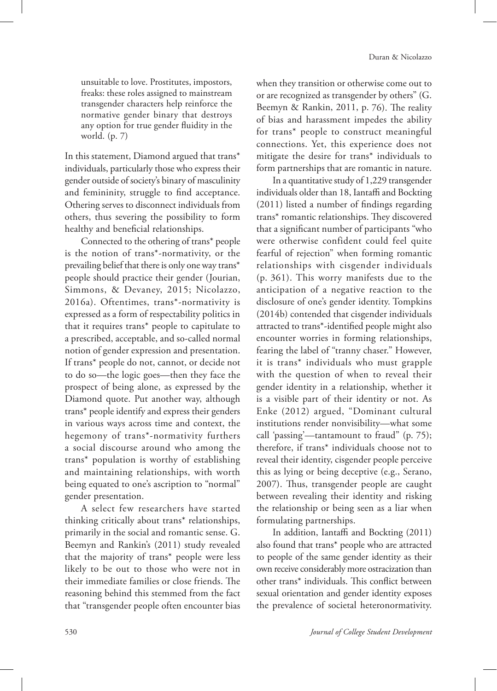unsuitable to love. Prostitutes, impostors, freaks: these roles assigned to mainstream transgender characters help reinforce the normative gender binary that destroys any option for true gender fluidity in the world. (p. 7)

In this statement, Diamond argued that trans\* individuals, particularly those who express their gender outside of society's binary of masculinity and femininity, struggle to find acceptance. Othering serves to disconnect individuals from others, thus severing the possibility to form healthy and beneficial relationships.

Connected to the othering of trans\* people is the notion of trans\*-normativity, or the prevailing belief that there is only one way trans\* people should practice their gender (Jourian, Simmons, & Devaney, 2015; Nicolazzo, 2016a). Oftentimes, trans\*-normativity is expressed as a form of respectability politics in that it requires trans\* people to capitulate to a prescribed, acceptable, and so-called normal notion of gender expression and presentation. If trans\* people do not, cannot, or decide not to do so—the logic goes—then they face the prospect of being alone, as expressed by the Diamond quote. Put another way, although trans\* people identify and express their genders in various ways across time and context, the hegemony of trans\*-normativity furthers a social discourse around who among the trans\* population is worthy of establishing and maintaining relationships, with worth being equated to one's ascription to "normal" gender presentation.

A select few researchers have started thinking critically about trans\* relationships, primarily in the social and romantic sense. G. Beemyn and Rankin's (2011) study revealed that the majority of trans\* people were less likely to be out to those who were not in their immediate families or close friends. The reasoning behind this stemmed from the fact that "transgender people often encounter bias

when they transition or otherwise come out to or are recognized as transgender by others" (G. Beemyn & Rankin, 2011, p. 76). The reality of bias and harassment impedes the ability for trans\* people to construct meaningful connections. Yet, this experience does not mitigate the desire for trans\* individuals to form partnerships that are romantic in nature.

In a quantitative study of 1,229 transgender individuals older than 18, Iantaffi and Bockting (2011) listed a number of findings regarding trans\* romantic relationships. They discovered that a significant number of participants "who were otherwise confident could feel quite fearful of rejection" when forming romantic relationships with cisgender individuals (p. 361). This worry manifests due to the anticipation of a negative reaction to the disclosure of one's gender identity. Tompkins (2014b) contended that cisgender individuals attracted to trans\*-identified people might also encounter worries in forming relationships, fearing the label of "tranny chaser." However, it is trans\* individuals who must grapple with the question of when to reveal their gender identity in a relationship, whether it is a visible part of their identity or not. As Enke (2012) argued, "Dominant cultural institutions render nonvisibility—what some call 'passing'—tantamount to fraud" (p. 75); therefore, if trans\* individuals choose not to reveal their identity, cisgender people perceive this as lying or being deceptive (e.g., Serano, 2007). Thus, transgender people are caught between revealing their identity and risking the relationship or being seen as a liar when formulating partnerships.

In addition, Iantaffi and Bockting (2011) also found that trans\* people who are attracted to people of the same gender identity as their own receive considerably more ostracization than other trans\* individuals. This conflict between sexual orientation and gender identity exposes the prevalence of societal heteronormativity.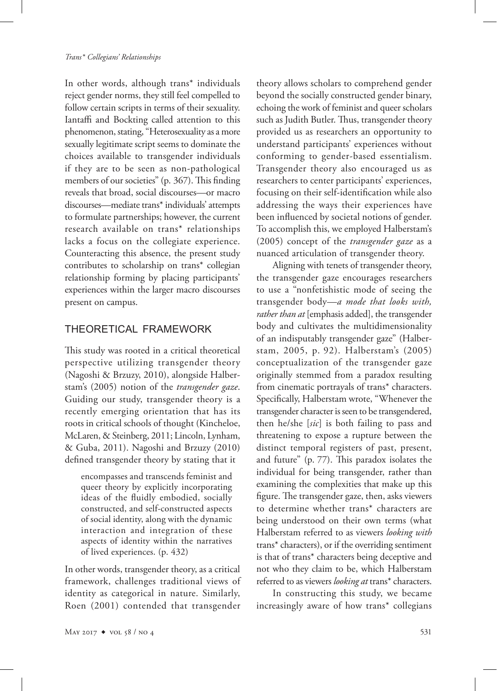In other words, although trans\* individuals reject gender norms, they still feel compelled to follow certain scripts in terms of their sexuality. Iantaffi and Bockting called attention to this phenomenon, stating, "Heterosexuality as a more sexually legitimate script seems to dominate the choices available to transgender individuals if they are to be seen as non-pathological members of our societies" (p. 367). This finding reveals that broad, social discourses—or macro discourses—mediate trans\* individuals' attempts to formulate partnerships; however, the current research available on trans\* relationships lacks a focus on the collegiate experience. Counteracting this absence, the present study contributes to scholarship on trans\* collegian relationship forming by placing participants' experiences within the larger macro discourses present on campus.

# THEORETICAL FRAMEWORK

This study was rooted in a critical theoretical perspective utilizing transgender theory (Nagoshi & Brzuzy, 2010), alongside Halberstam's (2005) notion of the *transgender gaze*. Guiding our study, transgender theory is a recently emerging orientation that has its roots in critical schools of thought (Kincheloe, McLaren, & Steinberg, 2011; Lincoln, Lynham, & Guba, 2011). Nagoshi and Brzuzy (2010) defined transgender theory by stating that it

encompasses and transcends feminist and queer theory by explicitly incorporating ideas of the fluidly embodied, socially constructed, and self-constructed aspects of social identity, along with the dynamic interaction and integration of these aspects of identity within the narratives of lived experiences. (p. 432)

In other words, transgender theory, as a critical framework, challenges traditional views of identity as categorical in nature. Similarly, Roen (2001) contended that transgender

theory allows scholars to comprehend gender beyond the socially constructed gender binary, echoing the work of feminist and queer scholars such as Judith Butler. Thus, transgender theory provided us as researchers an opportunity to understand participants' experiences without conforming to gender-based essentialism. Transgender theory also encouraged us as researchers to center participants' experiences, focusing on their self-identification while also addressing the ways their experiences have been influenced by societal notions of gender. To accomplish this, we employed Halberstam's (2005) concept of the *transgender gaze* as a nuanced articulation of transgender theory.

Aligning with tenets of transgender theory, the transgender gaze encourages researchers to use a "nonfetishistic mode of seeing the transgender body—*a mode that looks with, rather than at* [emphasis added], the transgender body and cultivates the multidimensionality of an indisputably transgender gaze" (Halberstam, 2005, p. 92). Halberstam's (2005) conceptualization of the transgender gaze originally stemmed from a paradox resulting from cinematic portrayals of trans\* characters. Specifically, Halberstam wrote, "Whenever the transgender character is seen to be transgendered, then he/she [*sic*] is both failing to pass and threatening to expose a rupture between the distinct temporal registers of past, present, and future" (p. 77). This paradox isolates the individual for being transgender, rather than examining the complexities that make up this figure. The transgender gaze, then, asks viewers to determine whether trans\* characters are being understood on their own terms (what Halberstam referred to as viewers *looking with* trans\* characters), or if the overriding sentiment is that of trans\* characters being deceptive and not who they claim to be, which Halberstam referred to as viewers *looking at* trans\* characters.

In constructing this study, we became increasingly aware of how trans\* collegians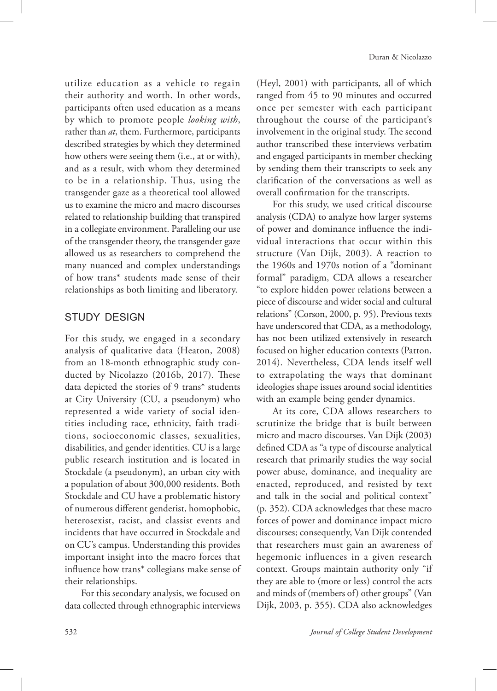utilize education as a vehicle to regain their authority and worth. In other words, participants often used education as a means by which to promote people *looking with*, rather than *at*, them. Furthermore, participants described strategies by which they determined how others were seeing them (i.e., at or with), and as a result, with whom they determined to be in a relationship. Thus, using the transgender gaze as a theoretical tool allowed us to examine the micro and macro discourses related to relationship building that transpired in a collegiate environment. Paralleling our use of the transgender theory, the transgender gaze allowed us as researchers to comprehend the many nuanced and complex understandings of how trans\* students made sense of their relationships as both limiting and liberatory.

#### STUDY DESIGN

For this study, we engaged in a secondary analysis of qualitative data (Heaton, 2008) from an 18-month ethnographic study conducted by Nicolazzo (2016b, 2017). These data depicted the stories of 9 trans\* students at City University (CU, a pseudonym) who represented a wide variety of social identities including race, ethnicity, faith traditions, socioeconomic classes, sexualities, disabilities, and gender identities. CU is a large public research institution and is located in Stockdale (a pseudonym), an urban city with a population of about 300,000 residents. Both Stockdale and CU have a problematic history of numerous different genderist, homophobic, heterosexist, racist, and classist events and incidents that have occurred in Stockdale and on CU's campus. Understanding this provides important insight into the macro forces that influence how trans\* collegians make sense of their relationships.

For this secondary analysis, we focused on data collected through ethnographic interviews

(Heyl, 2001) with participants, all of which ranged from 45 to 90 minutes and occurred once per semester with each participant throughout the course of the participant's involvement in the original study. The second author transcribed these interviews verbatim and engaged participants in member checking by sending them their transcripts to seek any clarification of the conversations as well as overall confirmation for the transcripts.

For this study, we used critical discourse analysis (CDA) to analyze how larger systems of power and dominance influence the individual interactions that occur within this structure (Van Dijk, 2003). A reaction to the 1960s and 1970s notion of a "dominant formal" paradigm, CDA allows a researcher "to explore hidden power relations between a piece of discourse and wider social and cultural relations" (Corson, 2000, p. 95). Previous texts have underscored that CDA, as a methodology, has not been utilized extensively in research focused on higher education contexts (Patton, 2014). Nevertheless, CDA lends itself well to extrapolating the ways that dominant ideologies shape issues around social identities with an example being gender dynamics.

At its core, CDA allows researchers to scrutinize the bridge that is built between micro and macro discourses. Van Dijk (2003) defined CDA as "a type of discourse analytical research that primarily studies the way social power abuse, dominance, and inequality are enacted, reproduced, and resisted by text and talk in the social and political context" (p. 352). CDA acknowledges that these macro forces of power and dominance impact micro discourses; consequently, Van Dijk contended that researchers must gain an awareness of hegemonic influences in a given research context. Groups maintain authority only "if they are able to (more or less) control the acts and minds of (members of) other groups" (Van Dijk, 2003, p. 355). CDA also acknowledges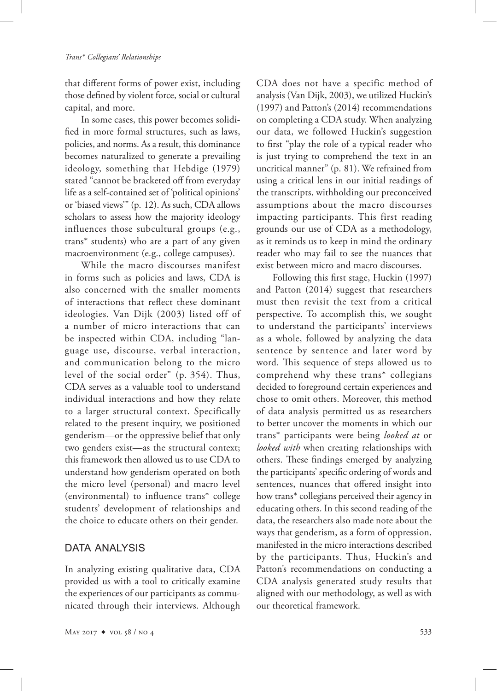that different forms of power exist, including those defined by violent force, social or cultural capital, and more.

In some cases, this power becomes solidified in more formal structures, such as laws, policies, and norms. As a result, this dominance becomes naturalized to generate a prevailing ideology, something that Hebdige (1979) stated "cannot be bracketed off from everyday life as a self-contained set of 'political opinions' or 'biased views'" (p. 12). As such, CDA allows scholars to assess how the majority ideology influences those subcultural groups (e.g., trans\* students) who are a part of any given macroenvironment (e.g., college campuses).

While the macro discourses manifest in forms such as policies and laws, CDA is also concerned with the smaller moments of interactions that reflect these dominant ideologies. Van Dijk (2003) listed off of a number of micro interactions that can be inspected within CDA, including "language use, discourse, verbal interaction, and communication belong to the micro level of the social order" (p. 354). Thus, CDA serves as a valuable tool to understand individual interactions and how they relate to a larger structural context. Specifically related to the present inquiry, we positioned genderism—or the oppressive belief that only two genders exist—as the structural context; this framework then allowed us to use CDA to understand how genderism operated on both the micro level (personal) and macro level (environmental) to influence trans\* college students' development of relationships and the choice to educate others on their gender.

#### DATA ANALYSIS

In analyzing existing qualitative data, CDA provided us with a tool to critically examine the experiences of our participants as communicated through their interviews. Although

CDA does not have a specific method of analysis (Van Dijk, 2003), we utilized Huckin's (1997) and Patton's (2014) recommendations on completing a CDA study. When analyzing our data, we followed Huckin's suggestion to first "play the role of a typical reader who is just trying to comprehend the text in an uncritical manner" (p. 81). We refrained from using a critical lens in our initial readings of the transcripts, withholding our preconceived assumptions about the macro discourses impacting participants. This first reading grounds our use of CDA as a methodology, as it reminds us to keep in mind the ordinary reader who may fail to see the nuances that exist between micro and macro discourses.

Following this first stage, Huckin (1997) and Patton (2014) suggest that researchers must then revisit the text from a critical perspective. To accomplish this, we sought to understand the participants' interviews as a whole, followed by analyzing the data sentence by sentence and later word by word. This sequence of steps allowed us to comprehend why these trans\* collegians decided to foreground certain experiences and chose to omit others. Moreover, this method of data analysis permitted us as researchers to better uncover the moments in which our trans\* participants were being *looked at* or *looked with* when creating relationships with others. These findings emerged by analyzing the participants' specific ordering of words and sentences, nuances that offered insight into how trans\* collegians perceived their agency in educating others. In this second reading of the data, the researchers also made note about the ways that genderism, as a form of oppression, manifested in the micro interactions described by the participants. Thus, Huckin's and Patton's recommendations on conducting a CDA analysis generated study results that aligned with our methodology, as well as with our theoretical framework.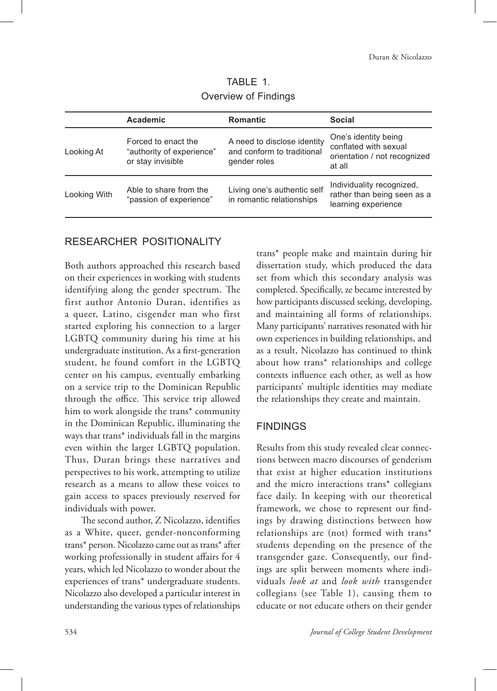|              | Academic                                                              | <b>Romantic</b>                                                           | <b>Social</b>                                                                           |
|--------------|-----------------------------------------------------------------------|---------------------------------------------------------------------------|-----------------------------------------------------------------------------------------|
| Looking At   | Forced to enact the<br>"authority of experience"<br>or stay invisible | A need to disclose identity<br>and conform to traditional<br>gender roles | One's identity being<br>conflated with sexual<br>orientation / not recognized<br>at all |
| Looking With | Able to share from the<br>"passion of experience"                     | Living one's authentic self<br>in romantic relationships                  | Individuality recognized,<br>rather than being seen as a<br>learning experience         |

TABLE 1. Overview of Findings

#### RESEARCHER POSITIONALITY

Both authors approached this research based on their experiences in working with students identifying along the gender spectrum. The first author Antonio Duran, identifies as a queer, Latino, cisgender man who first started exploring his connection to a larger LGBTQ community during his time at his undergraduate institution. As a first-generation student, he found comfort in the LGBTQ center on his campus, eventually embarking on a service trip to the Dominican Republic through the office. This service trip allowed him to work alongside the trans\* community in the Dominican Republic, illuminating the ways that trans\* individuals fall in the margins even within the larger LGBTQ population. Thus, Duran brings these narratives and perspectives to his work, attempting to utilize research as a means to allow these voices to gain access to spaces previously reserved for individuals with power.

The second author, Z Nicolazzo, identifies as a White, queer, gender-nonconforming trans\* person. Nicolazzo came out as trans\* after working professionally in student affairs for 4 years, which led Nicolazzo to wonder about the experiences of trans\* undergraduate students. Nicolazzo also developed a particular interest in understanding the various types of relationships

trans\* people make and maintain during hir dissertation study, which produced the data set from which this secondary analysis was completed. Specifically, ze became interested by how participants discussed seeking, developing, and maintaining all forms of relationships. Many participants' narratives resonated with hir own experiences in building relationships, and as a result, Nicolazzo has continued to think about how trans\* relationships and college contexts influence each other, as well as how participants' multiple identities may mediate the relationships they create and maintain.

#### FINDINGS

Results from this study revealed clear connections between macro discourses of genderism that exist at higher education institutions and the micro interactions trans\* collegians face daily. In keeping with our theoretical framework, we chose to represent our findings by drawing distinctions between how relationships are (not) formed with trans\* students depending on the presence of the transgender gaze. Consequently, our findings are split between moments where individuals *look at* and *look with* transgender collegians (see Table 1), causing them to educate or not educate others on their gender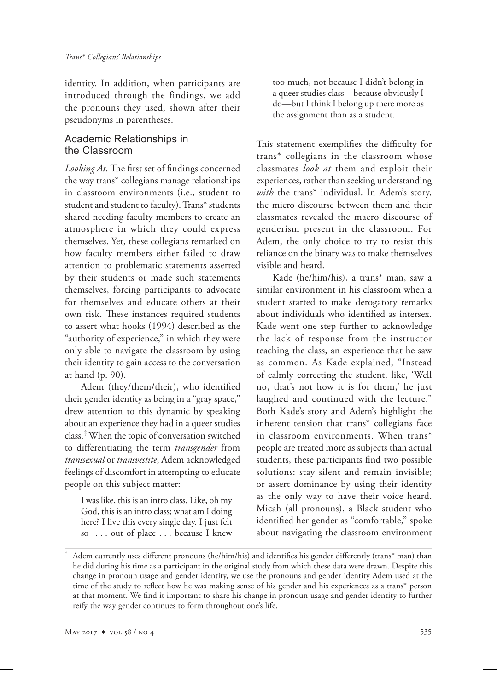identity. In addition, when participants are introduced through the findings, we add the pronouns they used, shown after their pseudonyms in parentheses.

# Academic Relationships in the Classroom

*Looking At*. The first set of findings concerned the way trans\* collegians manage relationships in classroom environments (i.e., student to student and student to faculty). Trans\* students shared needing faculty members to create an atmosphere in which they could express themselves. Yet, these collegians remarked on how faculty members either failed to draw attention to problematic statements asserted by their students or made such statements themselves, forcing participants to advocate for themselves and educate others at their own risk. These instances required students to assert what hooks (1994) described as the "authority of experience," in which they were only able to navigate the classroom by using their identity to gain access to the conversation at hand (p. 90).

Adem (they/them/their), who identified their gender identity as being in a "gray space," drew attention to this dynamic by speaking about an experience they had in a queer studies class.‡ When the topic of conversation switched to differentiating the term *transgender* from *transsexual* or *transvestite*, Adem acknowledged feelings of discomfort in attempting to educate people on this subject matter:

I was like, this is an intro class. Like, oh my God, this is an intro class; what am I doing here? I live this every single day. I just felt so . . . out of place . . . because I knew

too much, not because I didn't belong in a queer studies class—because obviously I do—but I think I belong up there more as the assignment than as a student.

This statement exemplifies the difficulty for trans\* collegians in the classroom whose classmates *look at* them and exploit their experiences, rather than seeking understanding *with* the trans\* individual. In Adem's story, the micro discourse between them and their classmates revealed the macro discourse of genderism present in the classroom. For Adem, the only choice to try to resist this reliance on the binary was to make themselves visible and heard.

Kade (he/him/his), a trans\* man, saw a similar environment in his classroom when a student started to make derogatory remarks about individuals who identified as intersex. Kade went one step further to acknowledge the lack of response from the instructor teaching the class, an experience that he saw as common. As Kade explained, "Instead of calmly correcting the student, like, 'Well no, that's not how it is for them,' he just laughed and continued with the lecture." Both Kade's story and Adem's highlight the inherent tension that trans\* collegians face in classroom environments. When trans\* people are treated more as subjects than actual students, these participants find two possible solutions: stay silent and remain invisible; or assert dominance by using their identity as the only way to have their voice heard. Micah (all pronouns), a Black student who identified her gender as "comfortable," spoke about navigating the classroom environment

Adem currently uses different pronouns (he/him/his) and identifies his gender differently (trans\* man) than he did during his time as a participant in the original study from which these data were drawn. Despite this change in pronoun usage and gender identity, we use the pronouns and gender identity Adem used at the time of the study to reflect how he was making sense of his gender and his experiences as a trans\* person at that moment. We find it important to share his change in pronoun usage and gender identity to further reify the way gender continues to form throughout one's life.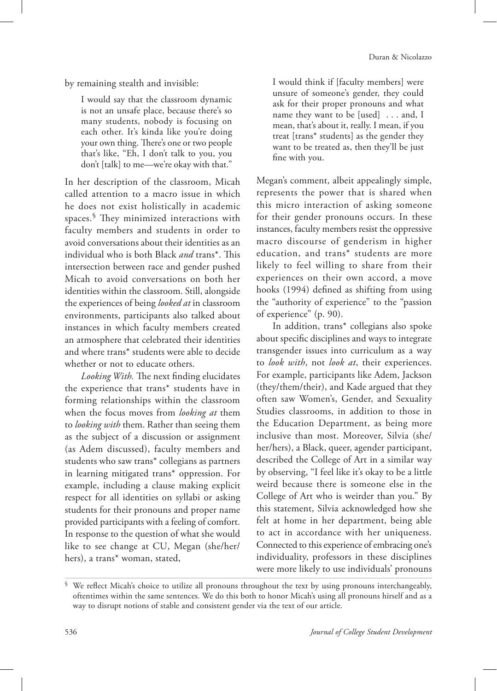by remaining stealth and invisible:

I would say that the classroom dynamic is not an unsafe place, because there's so many students, nobody is focusing on each other. It's kinda like you're doing your own thing. There's one or two people that's like, "Eh, I don't talk to you, you don't [talk] to me—we're okay with that."

In her description of the classroom, Micah called attention to a macro issue in which he does not exist holistically in academic spaces.§ They minimized interactions with faculty members and students in order to avoid conversations about their identities as an individual who is both Black *and* trans\*. This intersection between race and gender pushed Micah to avoid conversations on both her identities within the classroom. Still, alongside the experiences of being *looked at* in classroom environments, participants also talked about instances in which faculty members created an atmosphere that celebrated their identities and where trans\* students were able to decide whether or not to educate others.

*Looking With.* The next finding elucidates the experience that trans\* students have in forming relationships within the classroom when the focus moves from *looking at* them to *looking with* them. Rather than seeing them as the subject of a discussion or assignment (as Adem discussed), faculty members and students who saw trans\* collegians as partners in learning mitigated trans\* oppression. For example, including a clause making explicit respect for all identities on syllabi or asking students for their pronouns and proper name provided participants with a feeling of comfort. In response to the question of what she would like to see change at CU, Megan (she/her/ hers), a trans\* woman, stated,

I would think if [faculty members] were unsure of someone's gender, they could ask for their proper pronouns and what name they want to be [used] . . . and, I mean, that's about it, really. I mean, if you treat [trans\* students] as the gender they want to be treated as, then they'll be just fine with you.

Megan's comment, albeit appealingly simple, represents the power that is shared when this micro interaction of asking someone for their gender pronouns occurs. In these instances, faculty members resist the oppressive macro discourse of genderism in higher education, and trans\* students are more likely to feel willing to share from their experiences on their own accord, a move hooks (1994) defined as shifting from using the "authority of experience" to the "passion of experience" (p. 90).

In addition, trans\* collegians also spoke about specific disciplines and ways to integrate transgender issues into curriculum as a way to *look with*, not *look at*, their experiences. For example, participants like Adem, Jackson (they/them/their), and Kade argued that they often saw Women's, Gender, and Sexuality Studies classrooms, in addition to those in the Education Department, as being more inclusive than most. Moreover, Silvia (she/ her/hers), a Black, queer, agender participant, described the College of Art in a similar way by observing, "I feel like it's okay to be a little weird because there is someone else in the College of Art who is weirder than you." By this statement, Silvia acknowledged how she felt at home in her department, being able to act in accordance with her uniqueness. Connected to this experience of embracing one's individuality, professors in these disciplines were more likely to use individuals' pronouns

<sup>§</sup> We reflect Micah's choice to utilize all pronouns throughout the text by using pronouns interchangeably, oftentimes within the same sentences. We do this both to honor Micah's using all pronouns hirself and as a way to disrupt notions of stable and consistent gender via the text of our article.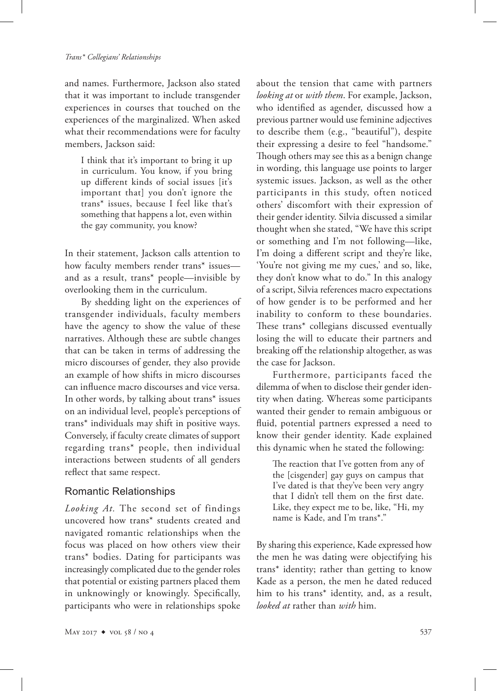and names. Furthermore, Jackson also stated that it was important to include transgender experiences in courses that touched on the experiences of the marginalized. When asked what their recommendations were for faculty members, Jackson said:

I think that it's important to bring it up in curriculum. You know, if you bring up different kinds of social issues [it's important that] you don't ignore the trans\* issues, because I feel like that's something that happens a lot, even within the gay community, you know?

In their statement, Jackson calls attention to how faculty members render trans\* issues and as a result, trans\* people—invisible by overlooking them in the curriculum.

By shedding light on the experiences of transgender individuals, faculty members have the agency to show the value of these narratives. Although these are subtle changes that can be taken in terms of addressing the micro discourses of gender, they also provide an example of how shifts in micro discourses can influence macro discourses and vice versa. In other words, by talking about trans\* issues on an individual level, people's perceptions of trans\* individuals may shift in positive ways. Conversely, if faculty create climates of support regarding trans\* people, then individual interactions between students of all genders reflect that same respect.

## Romantic Relationships

*Looking At.* The second set of findings uncovered how trans\* students created and navigated romantic relationships when the focus was placed on how others view their trans\* bodies. Dating for participants was increasingly complicated due to the gender roles that potential or existing partners placed them in unknowingly or knowingly. Specifically, participants who were in relationships spoke

about the tension that came with partners *looking at* or *with them*. For example, Jackson, who identified as agender, discussed how a previous partner would use feminine adjectives to describe them (e.g., "beautiful"), despite their expressing a desire to feel "handsome." Though others may see this as a benign change in wording, this language use points to larger systemic issues. Jackson, as well as the other participants in this study, often noticed others' discomfort with their expression of their gender identity. Silvia discussed a similar thought when she stated, "We have this script or something and I'm not following—like, I'm doing a different script and they're like, 'You're not giving me my cues,' and so, like, they don't know what to do." In this analogy of a script, Silvia references macro expectations of how gender is to be performed and her inability to conform to these boundaries. These trans\* collegians discussed eventually losing the will to educate their partners and breaking off the relationship altogether, as was the case for Jackson.

Furthermore, participants faced the dilemma of when to disclose their gender identity when dating. Whereas some participants wanted their gender to remain ambiguous or fluid, potential partners expressed a need to know their gender identity. Kade explained this dynamic when he stated the following:

The reaction that I've gotten from any of the [cisgender] gay guys on campus that I've dated is that they've been very angry that I didn't tell them on the first date. Like, they expect me to be, like, "Hi, my name is Kade, and I'm trans\*."

By sharing this experience, Kade expressed how the men he was dating were objectifying his trans\* identity; rather than getting to know Kade as a person, the men he dated reduced him to his trans\* identity, and, as a result, *looked at* rather than *with* him.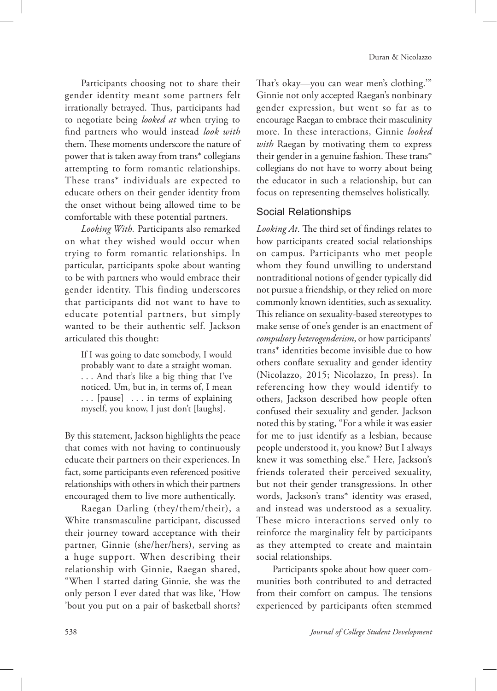Participants choosing not to share their gender identity meant some partners felt irrationally betrayed. Thus, participants had to negotiate being *looked at* when trying to find partners who would instead *look with* them. These moments underscore the nature of power that is taken away from trans\* collegians attempting to form romantic relationships. These trans\* individuals are expected to educate others on their gender identity from the onset without being allowed time to be comfortable with these potential partners.

*Looking With.* Participants also remarked on what they wished would occur when trying to form romantic relationships. In particular, participants spoke about wanting to be with partners who would embrace their gender identity. This finding underscores that participants did not want to have to educate potential partners, but simply wanted to be their authentic self. Jackson articulated this thought:

If I was going to date somebody, I would probably want to date a straight woman. . . . And that's like a big thing that I've noticed. Um, but in, in terms of, I mean . . . [pause] . . . in terms of explaining myself, you know, I just don't [laughs].

By this statement, Jackson highlights the peace that comes with not having to continuously educate their partners on their experiences. In fact, some participants even referenced positive relationships with others in which their partners encouraged them to live more authentically.

Raegan Darling (they/them/their), a White transmasculine participant, discussed their journey toward acceptance with their partner, Ginnie (she/her/hers), serving as a huge support. When describing their relationship with Ginnie, Raegan shared, "When I started dating Ginnie, she was the only person I ever dated that was like, 'How 'bout you put on a pair of basketball shorts?

That's okay—you can wear men's clothing.'" Ginnie not only accepted Raegan's nonbinary gender expression, but went so far as to encourage Raegan to embrace their masculinity more. In these interactions, Ginnie *looked with* Raegan by motivating them to express their gender in a genuine fashion. These trans\* collegians do not have to worry about being the educator in such a relationship, but can focus on representing themselves holistically.

#### Social Relationships

*Looking At*. The third set of findings relates to how participants created social relationships on campus. Participants who met people whom they found unwilling to understand nontraditional notions of gender typically did not pursue a friendship, or they relied on more commonly known identities, such as sexuality. This reliance on sexuality-based stereotypes to make sense of one's gender is an enactment of *compulsory heterogenderism*, or how participants' trans\* identities become invisible due to how others conflate sexuality and gender identity (Nicolazzo, 2015; Nicolazzo, In press). In referencing how they would identify to others, Jackson described how people often confused their sexuality and gender. Jackson noted this by stating, "For a while it was easier for me to just identify as a lesbian, because people understood it, you know? But I always knew it was something else." Here, Jackson's friends tolerated their perceived sexuality, but not their gender transgressions. In other words, Jackson's trans\* identity was erased, and instead was understood as a sexuality. These micro interactions served only to reinforce the marginality felt by participants as they attempted to create and maintain social relationships.

Participants spoke about how queer communities both contributed to and detracted from their comfort on campus. The tensions experienced by participants often stemmed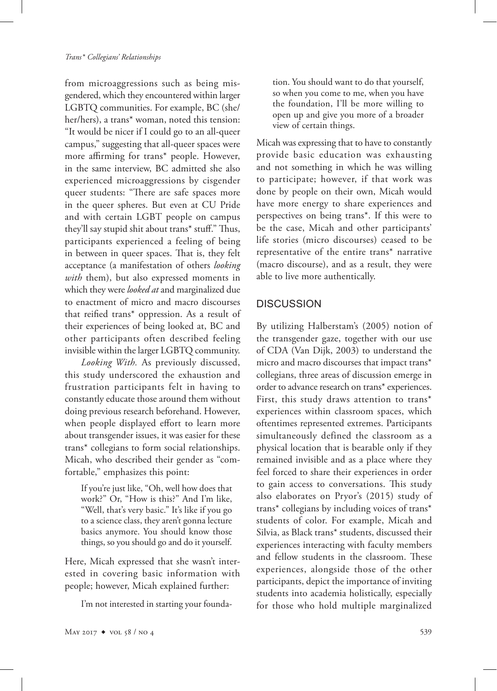from microaggressions such as being misgendered, which they encountered within larger LGBTQ communities. For example, BC (she/ her/hers), a trans\* woman, noted this tension: "It would be nicer if I could go to an all-queer campus," suggesting that all-queer spaces were more affirming for trans\* people. However, in the same interview, BC admitted she also experienced microaggressions by cisgender queer students: "There are safe spaces more in the queer spheres. But even at CU Pride and with certain LGBT people on campus they'll say stupid shit about trans\* stuff." Thus, participants experienced a feeling of being in between in queer spaces. That is, they felt acceptance (a manifestation of others *looking with* them), but also expressed moments in which they were *looked at* and marginalized due to enactment of micro and macro discourses that reified trans\* oppression. As a result of their experiences of being looked at, BC and other participants often described feeling invisible within the larger LGBTQ community.

*Looking With.* As previously discussed, this study underscored the exhaustion and frustration participants felt in having to constantly educate those around them without doing previous research beforehand. However, when people displayed effort to learn more about transgender issues, it was easier for these trans\* collegians to form social relationships. Micah, who described their gender as "comfortable," emphasizes this point:

If you're just like, "Oh, well how does that work?" Or, "How is this?" And I'm like, "Well, that's very basic." It's like if you go to a science class, they aren't gonna lecture basics anymore. You should know those things, so you should go and do it yourself.

Here, Micah expressed that she wasn't interested in covering basic information with people; however, Micah explained further:

I'm not interested in starting your founda-

tion. You should want to do that yourself, so when you come to me, when you have the foundation, I'll be more willing to open up and give you more of a broader view of certain things.

Micah was expressing that to have to constantly provide basic education was exhausting and not something in which he was willing to participate; however, if that work was done by people on their own, Micah would have more energy to share experiences and perspectives on being trans\*. If this were to be the case, Micah and other participants' life stories (micro discourses) ceased to be representative of the entire trans\* narrative (macro discourse), and as a result, they were able to live more authentically.

# **DISCUSSION**

By utilizing Halberstam's (2005) notion of the transgender gaze, together with our use of CDA (Van Dijk, 2003) to understand the micro and macro discourses that impact trans\* collegians, three areas of discussion emerge in order to advance research on trans\* experiences. First, this study draws attention to trans\* experiences within classroom spaces, which oftentimes represented extremes. Participants simultaneously defined the classroom as a physical location that is bearable only if they remained invisible and as a place where they feel forced to share their experiences in order to gain access to conversations. This study also elaborates on Pryor's (2015) study of trans\* collegians by including voices of trans\* students of color. For example, Micah and Silvia, as Black trans\* students, discussed their experiences interacting with faculty members and fellow students in the classroom. These experiences, alongside those of the other participants, depict the importance of inviting students into academia holistically, especially for those who hold multiple marginalized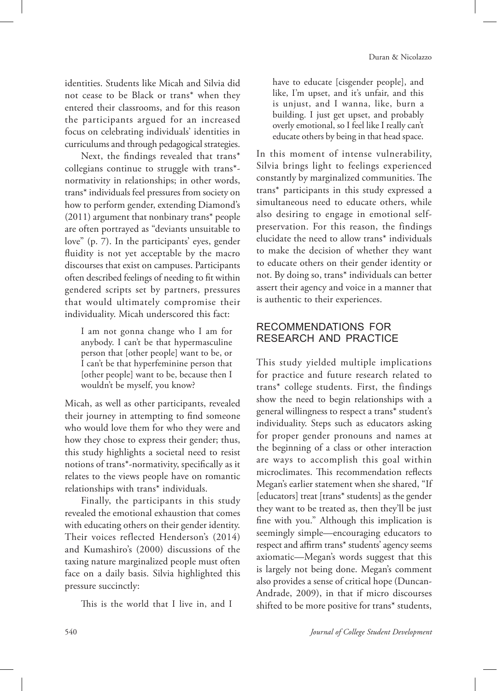identities. Students like Micah and Silvia did not cease to be Black or trans\* when they entered their classrooms, and for this reason the participants argued for an increased focus on celebrating individuals' identities in curriculums and through pedagogical strategies.

Next, the findings revealed that trans\* collegians continue to struggle with trans\* normativity in relationships; in other words, trans\* individuals feel pressures from society on how to perform gender, extending Diamond's (2011) argument that nonbinary trans\* people are often portrayed as "deviants unsuitable to love" (p. 7). In the participants' eyes, gender fluidity is not yet acceptable by the macro discourses that exist on campuses. Participants often described feelings of needing to fit within gendered scripts set by partners, pressures that would ultimately compromise their individuality. Micah underscored this fact:

I am not gonna change who I am for anybody. I can't be that hypermasculine person that [other people] want to be, or I can't be that hyperfeminine person that [other people] want to be, because then I wouldn't be myself, you know?

Micah, as well as other participants, revealed their journey in attempting to find someone who would love them for who they were and how they chose to express their gender; thus, this study highlights a societal need to resist notions of trans\*-normativity, specifically as it relates to the views people have on romantic relationships with trans\* individuals.

Finally, the participants in this study revealed the emotional exhaustion that comes with educating others on their gender identity. Their voices reflected Henderson's (2014) and Kumashiro's (2000) discussions of the taxing nature marginalized people must often face on a daily basis. Silvia highlighted this pressure succinctly:

This is the world that I live in, and I

have to educate [cisgender people], and like, I'm upset, and it's unfair, and this is unjust, and I wanna, like, burn a building. I just get upset, and probably overly emotional, so I feel like I really can't educate others by being in that head space.

In this moment of intense vulnerability, Silvia brings light to feelings experienced constantly by marginalized communities. The trans\* participants in this study expressed a simultaneous need to educate others, while also desiring to engage in emotional selfpreservation. For this reason, the findings elucidate the need to allow trans\* individuals to make the decision of whether they want to educate others on their gender identity or not. By doing so, trans\* individuals can better assert their agency and voice in a manner that is authentic to their experiences.

# RECOMMENDATIONS FOR RESEARCH AND PRACTICE

This study yielded multiple implications for practice and future research related to trans\* college students. First, the findings show the need to begin relationships with a general willingness to respect a trans\* student's individuality. Steps such as educators asking for proper gender pronouns and names at the beginning of a class or other interaction are ways to accomplish this goal within microclimates. This recommendation reflects Megan's earlier statement when she shared, "If [educators] treat [trans\* students] as the gender they want to be treated as, then they'll be just fine with you." Although this implication is seemingly simple—encouraging educators to respect and affirm trans\* students' agency seems axiomatic—Megan's words suggest that this is largely not being done. Megan's comment also provides a sense of critical hope (Duncan-Andrade, 2009), in that if micro discourses shifted to be more positive for trans\* students,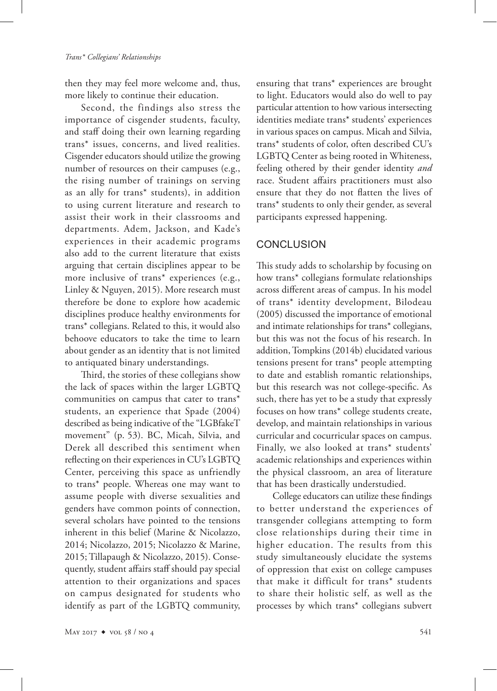then they may feel more welcome and, thus, more likely to continue their education.

Second, the findings also stress the importance of cisgender students, faculty, and staff doing their own learning regarding trans\* issues, concerns, and lived realities. Cisgender educators should utilize the growing number of resources on their campuses (e.g., the rising number of trainings on serving as an ally for trans\* students), in addition to using current literature and research to assist their work in their classrooms and departments. Adem, Jackson, and Kade's experiences in their academic programs also add to the current literature that exists arguing that certain disciplines appear to be more inclusive of trans\* experiences (e.g., Linley & Nguyen, 2015). More research must therefore be done to explore how academic disciplines produce healthy environments for trans\* collegians. Related to this, it would also behoove educators to take the time to learn about gender as an identity that is not limited to antiquated binary understandings.

Third, the stories of these collegians show the lack of spaces within the larger LGBTQ communities on campus that cater to trans\* students, an experience that Spade (2004) described as being indicative of the "LGBfakeT movement" (p. 53). BC, Micah, Silvia, and Derek all described this sentiment when reflecting on their experiences in CU's LGBTQ Center, perceiving this space as unfriendly to trans\* people. Whereas one may want to assume people with diverse sexualities and genders have common points of connection, several scholars have pointed to the tensions inherent in this belief (Marine & Nicolazzo, 2014; Nicolazzo, 2015; Nicolazzo & Marine, 2015; Tillapaugh & Nicolazzo, 2015). Consequently, student affairs staff should pay special attention to their organizations and spaces on campus designated for students who identify as part of the LGBTQ community,

ensuring that trans\* experiences are brought to light. Educators would also do well to pay particular attention to how various intersecting identities mediate trans\* students' experiences in various spaces on campus. Micah and Silvia, trans\* students of color, often described CU's LGBTQ Center as being rooted in Whiteness, feeling othered by their gender identity *and*  race. Student affairs practitioners must also ensure that they do not flatten the lives of trans\* students to only their gender, as several participants expressed happening.

## **CONCLUSION**

This study adds to scholarship by focusing on how trans\* collegians formulate relationships across different areas of campus. In his model of trans\* identity development, Bilodeau (2005) discussed the importance of emotional and intimate relationships for trans\* collegians, but this was not the focus of his research. In addition, Tompkins (2014b) elucidated various tensions present for trans\* people attempting to date and establish romantic relationships, but this research was not college-specific. As such, there has yet to be a study that expressly focuses on how trans\* college students create, develop, and maintain relationships in various curricular and cocurricular spaces on campus. Finally, we also looked at trans\* students' academic relationships and experiences within the physical classroom, an area of literature that has been drastically understudied.

College educators can utilize these findings to better understand the experiences of transgender collegians attempting to form close relationships during their time in higher education. The results from this study simultaneously elucidate the systems of oppression that exist on college campuses that make it difficult for trans\* students to share their holistic self, as well as the processes by which trans\* collegians subvert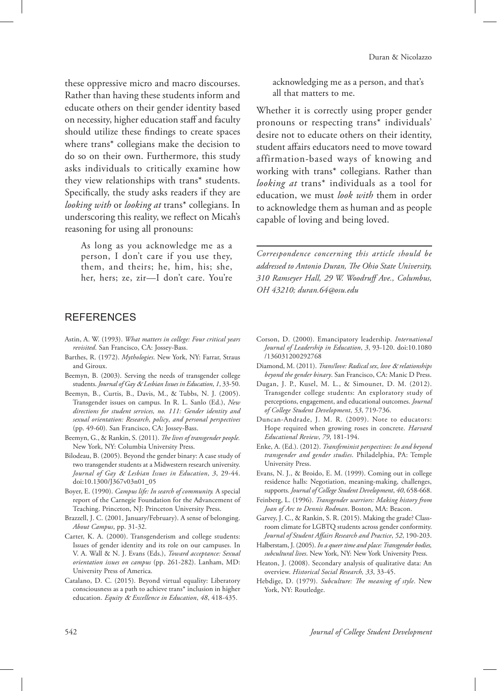these oppressive micro and macro discourses. Rather than having these students inform and educate others on their gender identity based on necessity, higher education staff and faculty should utilize these findings to create spaces where trans\* collegians make the decision to do so on their own. Furthermore, this study asks individuals to critically examine how they view relationships with trans\* students. Specifically, the study asks readers if they are *looking with* or *looking at* trans\* collegians. In underscoring this reality, we reflect on Micah's reasoning for using all pronouns:

As long as you acknowledge me as a person, I don't care if you use they, them, and theirs; he, him, his; she, her, hers; ze, zir—I don't care. You're acknowledging me as a person, and that's all that matters to me.

Whether it is correctly using proper gender pronouns or respecting trans\* individuals' desire not to educate others on their identity, student affairs educators need to move toward affirmation-based ways of knowing and working with trans\* collegians. Rather than *looking at* trans\* individuals as a tool for education, we must *look with* them in order to acknowledge them as human and as people capable of loving and being loved.

*Correspondence concerning this article should be addressed to Antonio Duran, The Ohio State University, 310 Ramseyer Hall, 29 W. Woodruff Ave., Columbus, OH 43210; duran.64@osu.edu*

#### REFERENCES

- Astin, A. W. (1993). *What matters in college: Four critical years revisited*. San Francisco, CA: Jossey-Bass.
- Barthes, R. (1972). *Mythologies*. New York, NY: Farrar, Straus and Giroux.
- Beemyn, B. (2003). Serving the needs of transgender college students. *Journal of Gay* & *Lesbian Issues in Education*, *1*, 33-50.
- Beemyn, B., Curtis, B., Davis, M., & Tubbs, N. J. (2005). Transgender issues on campus. In R. L. Sanlo (Ed.), *New directions for student services, no. 111: Gender identity and sexual orientation: Research*, *policy*, *and personal perspectives*  (pp. 49-60)*.* San Francisco, CA: Jossey-Bass.
- Beemyn, G., & Rankin, S. (2011). *The lives of transgender people.*  New York, NY: Columbia University Press.
- Bilodeau, B. (2005). Beyond the gender binary: A case study of two transgender students at a Midwestern research university. *Journal of Gay* & *Lesbian Issues in Education*, *3*, 29-44. doi:10.1300/J367v03n01\_05
- Boyer, E. (1990). *Campus life: In search of community.* A special report of the Carnegie Foundation for the Advancement of Teaching. Princeton, NJ: Princeton University Press.
- Brazzell, J. C. (2001, January/February). A sense of belonging. *About Campus*, pp. 31-32.
- Carter, K. A. (2000). Transgenderism and college students: Issues of gender identity and its role on our campuses. In V. A. Wall & N. J. Evans (Eds.), *Toward acceptance: Sexual orientation issues on campus* (pp. 261-282). Lanham, MD: University Press of America.
- Catalano, D. C. (2015). Beyond virtual equality: Liberatory consciousness as a path to achieve trans\* inclusion in higher education. *Equity* & *Excellence in Education*, *48*, 418-435.
- Corson, D. (2000). Emancipatory leadership. *International Journal of Leadership in Education*, *3*, 93-120. doi:10.1080 /136031200292768
- Diamond, M. (2011). *Trans/love: Radical sex*, *love* & *relationships beyond the gender binary*. San Francisco, CA: Manic D Press.
- Dugan, J. P., Kusel, M. L., & Simounet, D. M. (2012). Transgender college students: An exploratory study of perceptions, engagement, and educational outcomes. *Journal of College Student Development*, *53*, 719-736.
- Duncan-Andrade, J. M. R. (2009). Note to educators: Hope required when growing roses in concrete. *Harvard Educational Review*, *79*, 181-194.
- Enke, A. (Ed.). (2012). *Transfeminist perspectives: In and beyond transgender and gender studies*. Philadelphia, PA: Temple University Press.
- Evans, N. J., & Broido, E. M. (1999). Coming out in college residence halls: Negotiation, meaning-making, challenges, supports. *Journal of College Student Development*, *40*, 658-668.
- Feinberg, L. (1996). *Transgender warriors: Making history from Joan of Arc to Dennis Rodman*. Boston, MA: Beacon.
- Garvey, J. C., & Rankin, S. R. (2015). Making the grade? Classroom climate for LGBTQ students across gender conformity. *Journal of Student Affairs Research and Practice*, *52*, 190-203.
- Halberstam, J. (2005). *In a queer time and place: Transgender bodies, subcultural lives*. New York, NY: New York University Press.
- Heaton, J. (2008). Secondary analysis of qualitative data: An overview. *Historical Social Research, 33*, 33-45.
- Hebdige, D. (1979). *Subculture: The meaning of style*. New York, NY: Routledge.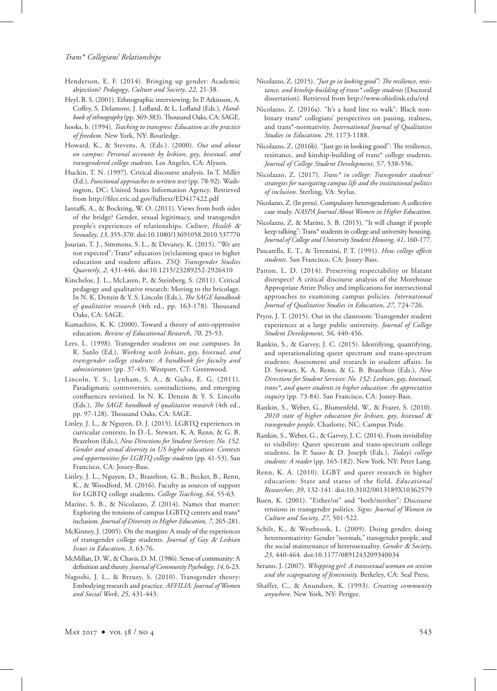- Henderson, E. F. (2014). Bringing up gender: Academic abjection? *Pedagogy*, *Culture and Society*, *22*, 21-38.
- Heyl, B. S. (2001). Ethnographic interviewing. In P. Atkinson, A. Coffey, S. Delamont, J. Lofland, & L. Lofland (Eds.), *Handbook of ethnography* (pp. 369-383). Thousand Oaks, CA: SAGE.
- hooks, b. (1994). *Teaching to transgress: Education as the practice of freedom.* New York, NY: Routledge.
- Howard, K., & Stevens, A. (Eds.). (2000). *Out and about on campus: Personal accounts by lesbian*, *gay*, *bisexual*, *and transgendered college students*. Los Angeles, CA: Alyson.
- Huckin, T. N. (1997). Critical discourse analysis. In T. Miller (Ed*.*), *Functional approaches to written text* (pp. 78-92). Washington, DC: United States Information Agency. Retrieved from http://files.eric.ed.gov/fulltext/ED417422.pdf
- Iantaffi, A., & Bockting, W. O. (2011). Views from both sides of the bridge? Gender, sexual legitimacy, and transgender people's experiences of relationships. *Culture*, *Health* & *Sexuality*, *13*, 355-370. doi:10.1080/13691058.2010.537770
- Jourian, T. J., Simmons, S. L., & Devaney, K. (2015). "We are not expected": Trans\* educators (re)claiming space in higher education and student affairs. *TSQ: Transgender Studies Quarterly*, *2*, 431-446. doi:10.1215/23289252-2926410
- Kincheloe, J. L., McLaren, P., & Steinberg, S. (2011). Critical pedagogy and qualitative research: Moving to the bricolage. In N. K. Denzin & Y. S. Lincoln (Eds.), *The SAGE handbook of qualitative research* (4th ed., pp. 163-178). Thousand Oaks, CA: SAGE.
- Kumashiro, K. K. (2000). Toward a theory of anti-oppressive education. *Review of Educational Research*, *70*, 25-53.
- Lees, L. (1998). Transgender students on our campuses. In R. Sanlo (Ed.), *Working with lesbian*, *gay*, *bisexual*, *and transgender college students: A handbook for faculty and administrators* (pp. 37-43). Westport, CT: Greenwood.
- Lincoln, Y. S., Lynham, S. A., & Guba, E. G. (2011). Paradigmatic controversies, contradictions, and emerging confluences revisited. In N. K. Denzin & Y. S. Lincoln (Eds.), *The SAGE handbook of qualitative research* (4th ed., pp. 97-128). Thousand Oaks, CA: SAGE.
- Linley, J. L., & Nguyen, D. J. (2015). LGBTQ experiences in curricular contexts. In D.-L. Stewart, K. A. Renn, & G. B. Brazelton (Eds.), *New Directions for Student Services*: *No. 152. Gender and sexual diversity in US higher education: Contexts and opportunities for LGBTQ college students* (pp. 41-53). San Francisco, CA: Jossey-Bass.
- Linley, J. L., Nguyen, D., Brazelton, G. B., Becker, B., Renn, K., & Woodford, M. (2016). Faculty as sources of support for LGBTQ college students. *College Teaching*, *64*, 55-63.
- Marine, S. B., & Nicolazzo, Z (2014). Names that matter: Exploring the tensions of campus LGBTQ centers and trans\* inclusion. *Journal of Diversity in Higher Education*, *7,* 265-281.
- McKinney, J. (2005). On the margins: A study of the experiences of transgender college students. *Journal of Gay* & *Lesbian Issues in Education*, *3*, 63-76.
- McMillan, D. W., & Chavis, D. M. (1986). Sense of community: A definition and theory. *Journal of Community Psychology*, *14*, 6-23.
- Nagoshi, J. L., & Brzuzy, S. (2010). Transgender theory: Embodying research and practice. *AFFILIA: Journal of Women and Social Work*, *25*, 431-443.
- Nicolazzo, Z. (2015). *"Just go in looking good": The resilience, resistance, and kinship-building of trans\* college students* (Doctoral dissertation). Retrieved from http://www.ohiolink.edu/etd
- Nicolazzo, Z. (2016a). "It's a hard line to walk": Black nonbinary trans\* collegians' perspectives on passing, realness, and trans\*-normativity. *International Journal of Qualitative Studies in Education, 29*, 1173-1188.
- Nicolazzo, Z. (2016b). "Just go in looking good": The resilience, resistance, and kinship-building of trans\* college students. *Journal of College Student Development*, *57*, 538-556.
- Nicolazzo, Z. (2017). *Trans\* in college: Transgender students' strategies for navigating campus life and the institutional politics of inclusion.* Sterling, VA: Stylus.
- Nicolazzo, Z. (In press). Compulsory heterogenderism: A collective case study. *NASPA Journal About Women in Higher Education.*
- Nicolazzo, Z, & Marine, S. B. (2015). "It will change if people keep talking": Trans\* students in college and university housing. *Journal of College and University Student Housing*, *41*, 160-177.
- Pascarella, E. T., & Terenzini, P. T. (1991). *How college affects students*. San Francisco, CA: Jossey-Bass.
- Patton, L. D. (2014). Preserving respectability or blatant disrespect? A critical discourse analysis of the Morehouse Appropriate Attire Policy and implications for intersectional approaches to examining campus policies. *International Journal of Qualitative Studies in Education*, *27*, 724-726.
- Pryor, J. T. (2015). Out in the classroom: Transgender student experiences at a large public university. *Journal of College Student Development*, *56*, 440-456.
- Rankin, S., & Garvey, J. C. (2015). Identifying, quantifying, and operationalizing queer spectrum and trans-spectrum students: Assessment and research in student affairs. In D. Stewart, K. A. Renn, & G. B. Brazelton (Eds.), *New Directions for Student Services*: *No. 152: Lesbian*, *gay*, *bisexual*, *trans\**, *and queer students in higher education: An appreciative inquiry* (pp. 73-84). San Francisco, CA: Jossey-Bass.
- Rankin, S., Weber, G., Blumenfeld, W., & Frazer, S. (2010). *2010 state of higher education for lesbian*, *gay*, *bisexual* & *transgender people*. Charlotte, NC: Campus Pride.
- Rankin, S., Weber, G., & Garvey, J. C. (2014). From invisibility to visibility: Queer spectrum and trans-spectrum college students. In P. Sasso & D. Joseph (Eds.), *Today's college students: A reader* (pp. 165-182). New York, NY: Peter Lang.
- Renn, K. A. (2010). LGBT and queer research in higher education: State and status of the field. *Educational Researcher*, *39*, 132-141. doi:10.3102/0013189X10362579
- Roen, K. (2001). "Either/or" and "both/neither": Discourse tensions in transgender politics. *Signs: Journal of Women in Culture and Society*, *27*, 501-522.
- Schilt, K., & Westbrook, L. (2009). Doing gender, doing heternormativity: Gender "normals," transgender people, and the social maintenance of heterosexuality. *Gender* & *Society*, *23*, 440-464. doi:10.1177/0891243209340034
- Serano, J. (2007). *Whipping girl: A transsexual woman on sexism and the scapegoating of femininity.* Berkeley, CA: Seal Press.
- Shaffer, C., & Anundsen, K. (1993). *Creating community anywhere*. New York, NY: Perigee.